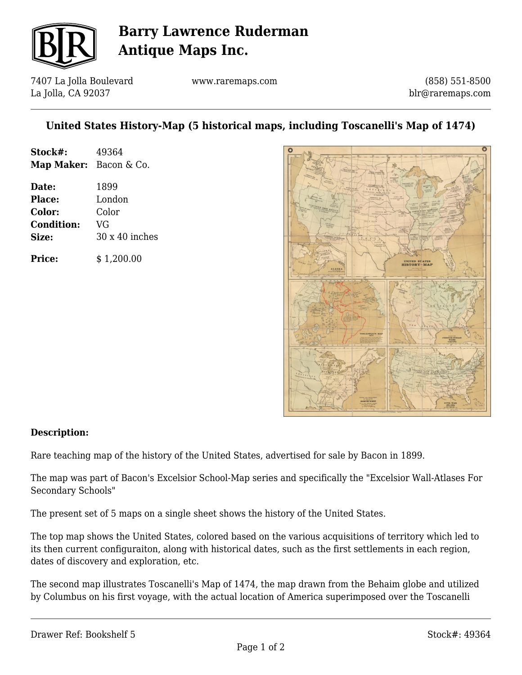

# **Barry Lawrence Ruderman Antique Maps Inc.**

7407 La Jolla Boulevard La Jolla, CA 92037

www.raremaps.com

(858) 551-8500 blr@raremaps.com

### **United States History-Map (5 historical maps, including Toscanelli's Map of 1474)**

| Stock#:                | 49364 |
|------------------------|-------|
| Map Maker: Bacon & Co. |       |
| Date:                  | 1899  |

**Place:** London **Color:** Color **Condition:** VG **Size:** 30 x 40 inches

**Price:**  $$ 1,200.00$ 



#### **Description:**

Rare teaching map of the history of the United States, advertised for sale by Bacon in 1899.

The map was part of Bacon's Excelsior School-Map series and specifically the "Excelsior Wall-Atlases For Secondary Schools"

The present set of 5 maps on a single sheet shows the history of the United States.

The top map shows the United States, colored based on the various acquisitions of territory which led to its then current configuraiton, along with historical dates, such as the first settlements in each region, dates of discovery and exploration, etc.

The second map illustrates Toscanelli's Map of 1474, the map drawn from the Behaim globe and utilized by Columbus on his first voyage, with the actual location of America superimposed over the Toscanelli